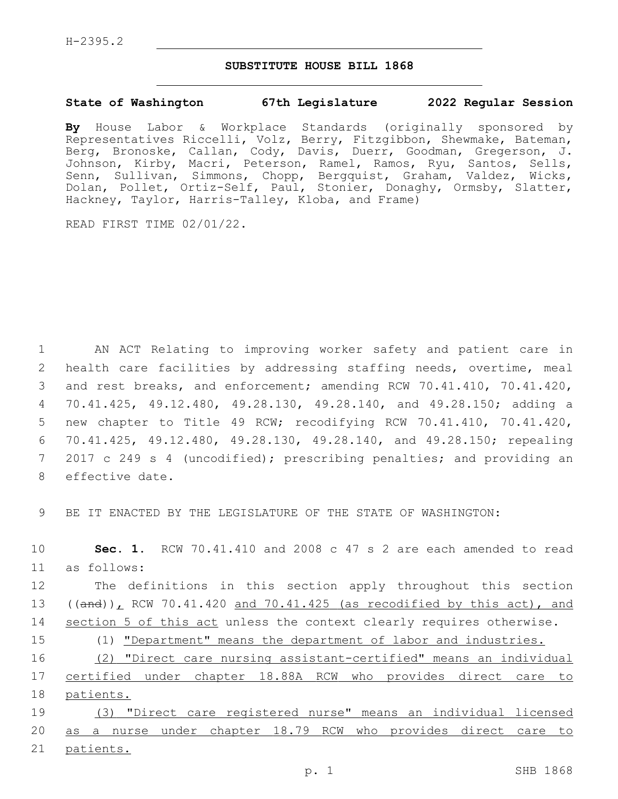## **SUBSTITUTE HOUSE BILL 1868**

## **State of Washington 67th Legislature 2022 Regular Session**

**By** House Labor & Workplace Standards (originally sponsored by Representatives Riccelli, Volz, Berry, Fitzgibbon, Shewmake, Bateman, Berg, Bronoske, Callan, Cody, Davis, Duerr, Goodman, Gregerson, J. Johnson, Kirby, Macri, Peterson, Ramel, Ramos, Ryu, Santos, Sells, Senn, Sullivan, Simmons, Chopp, Bergquist, Graham, Valdez, Wicks, Dolan, Pollet, Ortiz-Self, Paul, Stonier, Donaghy, Ormsby, Slatter, Hackney, Taylor, Harris-Talley, Kloba, and Frame)

READ FIRST TIME 02/01/22.

 AN ACT Relating to improving worker safety and patient care in health care facilities by addressing staffing needs, overtime, meal and rest breaks, and enforcement; amending RCW 70.41.410, 70.41.420, 70.41.425, 49.12.480, 49.28.130, 49.28.140, and 49.28.150; adding a new chapter to Title 49 RCW; recodifying RCW 70.41.410, 70.41.420, 70.41.425, 49.12.480, 49.28.130, 49.28.140, and 49.28.150; repealing 2017 c 249 s 4 (uncodified); prescribing penalties; and providing an 8 effective date.

9 BE IT ENACTED BY THE LEGISLATURE OF THE STATE OF WASHINGTON:

10 **Sec. 1.** RCW 70.41.410 and 2008 c 47 s 2 are each amended to read as follows:11

12 The definitions in this section apply throughout this section 13 ((and)), RCW 70.41.420 and 70.41.425 (as recodified by this act), and 14 section 5 of this act unless the context clearly requires otherwise.

15 (1) "Department" means the department of labor and industries.

16 (2) "Direct care nursing assistant-certified" means an individual 17 certified under chapter 18.88A RCW who provides direct care to 18 patients.

19 (3) "Direct care registered nurse" means an individual licensed 20 as a nurse under chapter 18.79 RCW who provides direct care to 21 patients.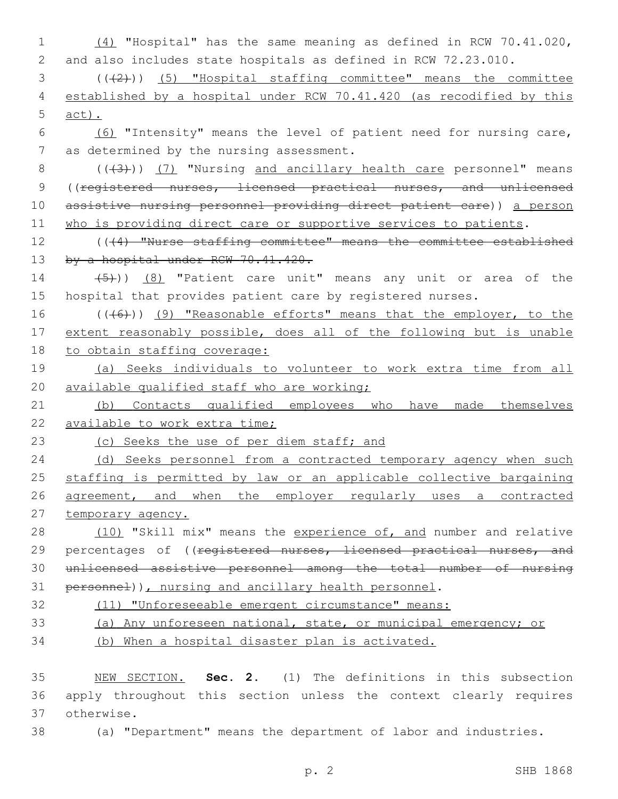| $\mathbf 1$ | $(4)$ "Hospital" has the same meaning as defined in RCW 70.41.020,   |
|-------------|----------------------------------------------------------------------|
| 2           | and also includes state hospitals as defined in RCW 72.23.010.       |
| 3           | $((+2))$ (5) "Hospital staffing committee" means the committee       |
| 4           | established by a hospital under RCW 70.41.420 (as recodified by this |
| 5           | $act)$ .                                                             |
| 6           | (6) "Intensity" means the level of patient need for nursing care,    |
| 7           | as determined by the nursing assessment.                             |
| 8           | $((+3))$ (7) "Nursing and ancillary health care personnel" means     |
| 9           | ((registered nurses, licensed practical nurses, and unlicensed       |
| 10          | assistive nursing personnel providing direct patient care)) a person |
| 11          | who is providing direct care or supportive services to patients.     |
| 12          | ((44) "Nurse staffing committee" means the committee established     |
| 13          | by a hospital under RCW 70.41.420.                                   |
| 14          | $(5)$ ) (8) "Patient care unit" means any unit or area of the        |
| 15          | hospital that provides patient care by registered nurses.            |
| 16          | (((6)) (9) "Reasonable efforts" means that the employer, to the      |
| 17          | extent reasonably possible, does all of the following but is unable  |
| 18          | to obtain staffing coverage:                                         |
| 19          | (a) Seeks individuals to volunteer to work extra time from all       |
| 20          | available qualified staff who are working;                           |
| 21          | (b) Contacts qualified employees who have<br>made themselves         |
| 22          | available to work extra time;                                        |
| 23          | (c) Seeks the use of per diem staff; and                             |
| 24          | (d) Seeks personnel from a contracted temporary agency when such     |
| 25          | staffing is permitted by law or an applicable collective bargaining  |
| 26          | agreement, and when the employer regularly uses a contracted         |
| 27          | temporary agency.                                                    |
| 28          | (10) "Skill mix" means the experience of, and number and relative    |
| 29          | percentages of ((registered nurses, licensed practical nurses, and   |
| 30          | unlicensed assistive personnel among the total number of nursing     |
| 31          | personnel)), nursing and ancillary health personnel.                 |
| 32          | (11) "Unforeseeable emergent circumstance" means:                    |
| 33          | (a) Any unforeseen national, state, or municipal emergency; or       |

34 (b) When a hospital disaster plan is activated.

35 NEW SECTION. **Sec. 2.** (1) The definitions in this subsection 36 apply throughout this section unless the context clearly requires 37 otherwise.

38 (a) "Department" means the department of labor and industries.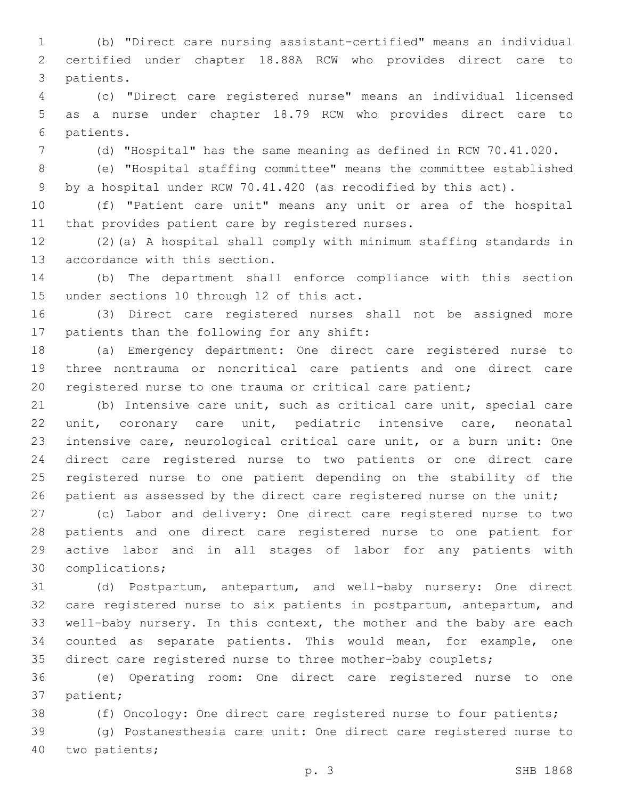(b) "Direct care nursing assistant-certified" means an individual certified under chapter 18.88A RCW who provides direct care to 3 patients.

 (c) "Direct care registered nurse" means an individual licensed as a nurse under chapter 18.79 RCW who provides direct care to 6 patients.

(d) "Hospital" has the same meaning as defined in RCW 70.41.020.

 (e) "Hospital staffing committee" means the committee established by a hospital under RCW 70.41.420 (as recodified by this act).

 (f) "Patient care unit" means any unit or area of the hospital 11 that provides patient care by registered nurses.

 (2)(a) A hospital shall comply with minimum staffing standards in 13 accordance with this section.

 (b) The department shall enforce compliance with this section 15 under sections 10 through 12 of this act.

 (3) Direct care registered nurses shall not be assigned more 17 patients than the following for any shift:

 (a) Emergency department: One direct care registered nurse to three nontrauma or noncritical care patients and one direct care registered nurse to one trauma or critical care patient;

 (b) Intensive care unit, such as critical care unit, special care unit, coronary care unit, pediatric intensive care, neonatal intensive care, neurological critical care unit, or a burn unit: One direct care registered nurse to two patients or one direct care registered nurse to one patient depending on the stability of the 26 patient as assessed by the direct care registered nurse on the unit;

 (c) Labor and delivery: One direct care registered nurse to two patients and one direct care registered nurse to one patient for active labor and in all stages of labor for any patients with 30 complications;

 (d) Postpartum, antepartum, and well-baby nursery: One direct care registered nurse to six patients in postpartum, antepartum, and well-baby nursery. In this context, the mother and the baby are each counted as separate patients. This would mean, for example, one direct care registered nurse to three mother-baby couplets;

 (e) Operating room: One direct care registered nurse to one 37 patient;

(f) Oncology: One direct care registered nurse to four patients;

 (g) Postanesthesia care unit: One direct care registered nurse to 40 two patients;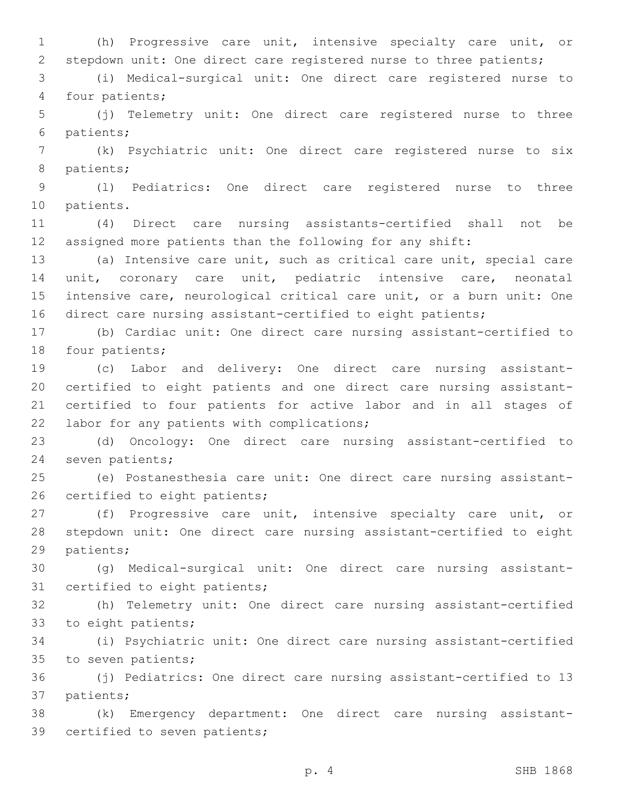(h) Progressive care unit, intensive specialty care unit, or stepdown unit: One direct care registered nurse to three patients;

 (i) Medical-surgical unit: One direct care registered nurse to 4 four patients;

 (j) Telemetry unit: One direct care registered nurse to three 6 patients;

 (k) Psychiatric unit: One direct care registered nurse to six 8 patients;

 (l) Pediatrics: One direct care registered nurse to three 10 patients.

 (4) Direct care nursing assistants-certified shall not be assigned more patients than the following for any shift:

 (a) Intensive care unit, such as critical care unit, special care unit, coronary care unit, pediatric intensive care, neonatal intensive care, neurological critical care unit, or a burn unit: One direct care nursing assistant-certified to eight patients;

 (b) Cardiac unit: One direct care nursing assistant-certified to 18 four patients;

 (c) Labor and delivery: One direct care nursing assistant- certified to eight patients and one direct care nursing assistant- certified to four patients for active labor and in all stages of 22 labor for any patients with complications;

 (d) Oncology: One direct care nursing assistant-certified to 24 seven patients;

 (e) Postanesthesia care unit: One direct care nursing assistant-26 certified to eight patients;

 (f) Progressive care unit, intensive specialty care unit, or stepdown unit: One direct care nursing assistant-certified to eight 29 patients;

 (g) Medical-surgical unit: One direct care nursing assistant-31 certified to eight patients;

 (h) Telemetry unit: One direct care nursing assistant-certified 33 to eight patients;

 (i) Psychiatric unit: One direct care nursing assistant-certified 35 to seven patients;

 (j) Pediatrics: One direct care nursing assistant-certified to 13 37 patients;

 (k) Emergency department: One direct care nursing assistant-39 certified to seven patients;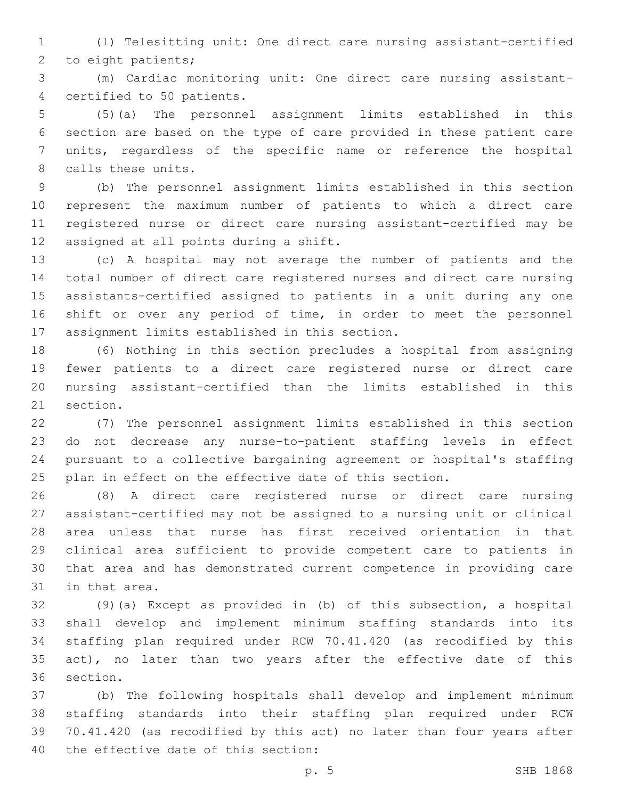(l) Telesitting unit: One direct care nursing assistant-certified 2 to eight patients;

 (m) Cardiac monitoring unit: One direct care nursing assistant-4 certified to 50 patients.

 (5)(a) The personnel assignment limits established in this section are based on the type of care provided in these patient care units, regardless of the specific name or reference the hospital 8 calls these units.

 (b) The personnel assignment limits established in this section represent the maximum number of patients to which a direct care registered nurse or direct care nursing assistant-certified may be 12 assigned at all points during a shift.

 (c) A hospital may not average the number of patients and the total number of direct care registered nurses and direct care nursing assistants-certified assigned to patients in a unit during any one shift or over any period of time, in order to meet the personnel 17 assignment limits established in this section.

 (6) Nothing in this section precludes a hospital from assigning fewer patients to a direct care registered nurse or direct care nursing assistant-certified than the limits established in this 21 section.

 (7) The personnel assignment limits established in this section do not decrease any nurse-to-patient staffing levels in effect pursuant to a collective bargaining agreement or hospital's staffing plan in effect on the effective date of this section.

 (8) A direct care registered nurse or direct care nursing assistant-certified may not be assigned to a nursing unit or clinical area unless that nurse has first received orientation in that clinical area sufficient to provide competent care to patients in that area and has demonstrated current competence in providing care 31 in that area.

 (9)(a) Except as provided in (b) of this subsection, a hospital shall develop and implement minimum staffing standards into its staffing plan required under RCW 70.41.420 (as recodified by this 35 act), no later than two years after the effective date of this 36 section.

 (b) The following hospitals shall develop and implement minimum staffing standards into their staffing plan required under RCW 70.41.420 (as recodified by this act) no later than four years after 40 the effective date of this section: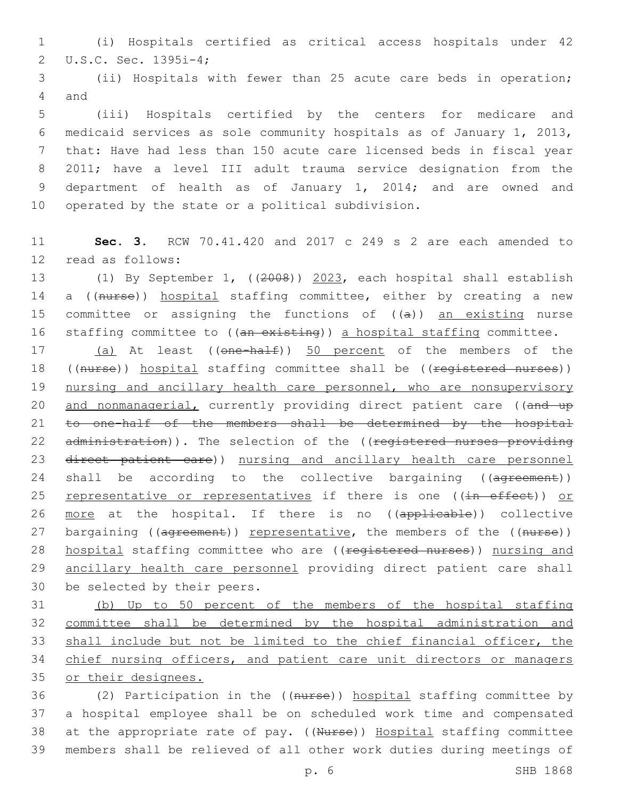1 (i) Hospitals certified as critical access hospitals under 42 U.S.C. Sec. 1395i-4;2

3 (ii) Hospitals with fewer than 25 acute care beds in operation; 4 and

 (iii) Hospitals certified by the centers for medicare and medicaid services as sole community hospitals as of January 1, 2013, that: Have had less than 150 acute care licensed beds in fiscal year 2011; have a level III adult trauma service designation from the 9 department of health as of January 1, 2014; and are owned and 10 operated by the state or a political subdivision.

11 **Sec. 3.** RCW 70.41.420 and 2017 c 249 s 2 are each amended to 12 read as follows:

13 (1) By September 1, ((2008)) 2023, each hospital shall establish 14 a ((nurse)) hospital staffing committee, either by creating a new 15 committee or assigning the functions of  $((a))$  an existing nurse 16 staffing committee to ((an existing)) a hospital staffing committee.

17 (a) At least ((one-half)) 50 percent of the members of the 18 ((nurse)) hospital staffing committee shall be ((registered nurses)) 19 nursing and ancillary health care personnel, who are nonsupervisory 20 and nonmanagerial, currently providing direct patient care ((and up 21 to one-half of the members shall be determined by the hospital 22 administration)). The selection of the ((registered nurses providing 23 direct patient care)) nursing and ancillary health care personnel 24 shall be according to the collective bargaining ((agreement)) 25 representative or representatives if there is one ((in effect)) or 26 more at the hospital. If there is no ((applicable)) collective 27 bargaining ((agreement)) representative, the members of the ((nurse)) 28 hospital staffing committee who are ((registered nurses)) nursing and 29 ancillary health care personnel providing direct patient care shall 30 be selected by their peers.

 (b) Up to 50 percent of the members of the hospital staffing committee shall be determined by the hospital administration and shall include but not be limited to the chief financial officer, the chief nursing officers, and patient care unit directors or managers or their designees.

 (2) Participation in the ((nurse)) hospital staffing committee by a hospital employee shall be on scheduled work time and compensated 38 at the appropriate rate of pay. ((Nurse)) Hospital staffing committee members shall be relieved of all other work duties during meetings of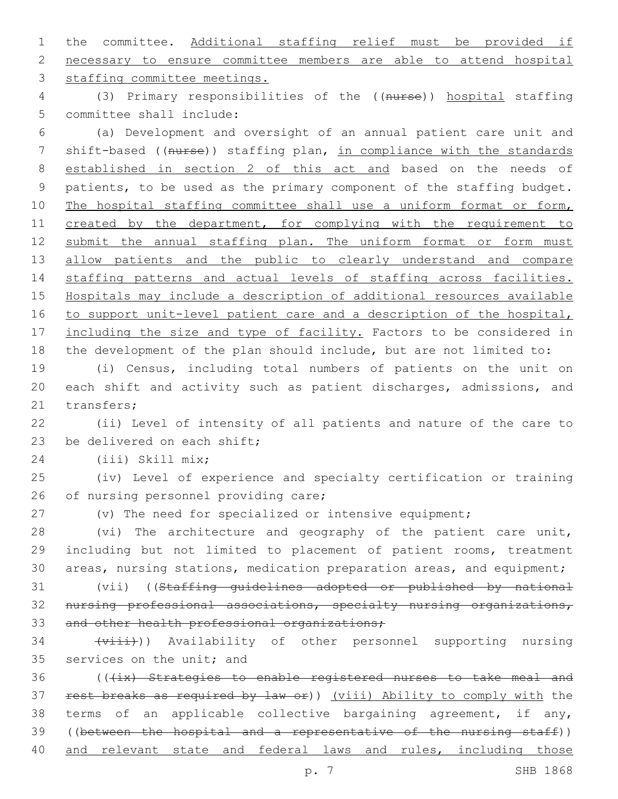1 the committee. Additional staffing relief must be provided if 2 necessary to ensure committee members are able to attend hospital 3 staffing committee meetings.

4 (3) Primary responsibilities of the ((nurse)) hospital staffing 5 committee shall include:

6 (a) Development and oversight of an annual patient care unit and 7 shift-based ((nurse)) staffing plan, in compliance with the standards 8 established in section 2 of this act and based on the needs of 9 patients, to be used as the primary component of the staffing budget. 10 The hospital staffing committee shall use a uniform format or form, 11 created by the department, for complying with the requirement to 12 submit the annual staffing plan. The uniform format or form must 13 allow patients and the public to clearly understand and compare 14 staffing patterns and actual levels of staffing across facilities. 15 Hospitals may include a description of additional resources available 16 to support unit-level patient care and a description of the hospital, 17 including the size and type of facility. Factors to be considered in 18 the development of the plan should include, but are not limited to:

19 (i) Census, including total numbers of patients on the unit on 20 each shift and activity such as patient discharges, admissions, and 21 transfers;

22 (ii) Level of intensity of all patients and nature of the care to 23 be delivered on each shift;

(iii) Skill mix;24

25 (iv) Level of experience and specialty certification or training 26 of nursing personnel providing care;

27 (v) The need for specialized or intensive equipment;

28 (vi) The architecture and geography of the patient care unit, 29 including but not limited to placement of patient rooms, treatment 30 areas, nursing stations, medication preparation areas, and equipment;

31 (vii) ((Staffing guidelines adopted or published by national 32 nursing professional associations, specialty nursing organizations, 33 and other health professional organizations;

34 (viii)) Availability of other personnel supporting nursing 35 services on the unit; and

36 (((ix) Strategies to enable registered nurses to take meal and 37 rest breaks as required by law or)) (viii) Ability to comply with the 38 terms of an applicable collective bargaining agreement, if any, 39 ((between the hospital and a representative of the nursing staff)) 40 and relevant state and federal laws and rules, including those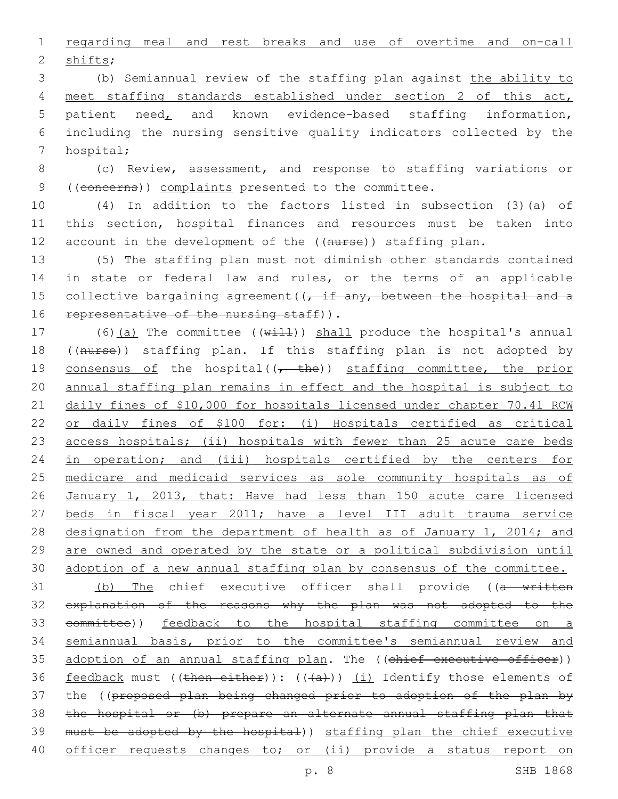1 regarding meal and rest breaks and use of overtime and on-call 2 shifts;

 (b) Semiannual review of the staffing plan against the ability to meet staffing standards established under section 2 of this act, patient need, and known evidence-based staffing information, including the nursing sensitive quality indicators collected by the 7 hospital;

8 (c) Review, assessment, and response to staffing variations or 9 ((concerns)) complaints presented to the committee.

10 (4) In addition to the factors listed in subsection (3)(a) of 11 this section, hospital finances and resources must be taken into 12 account in the development of the ((nurse)) staffing plan.

13 (5) The staffing plan must not diminish other standards contained 14 in state or federal law and rules, or the terms of an applicable 15 collective bargaining agreement  $((t, if any, between the hospital and a$ 16 representative of the nursing staff)).

17 (6)(a) The committee (( $w\text{+11}$ )) shall produce the hospital's annual 18 ((nurse)) staffing plan. If this staffing plan is not adopted by 19 consensus of the hospital( $(-$  the)) staffing committee, the prior 20 annual staffing plan remains in effect and the hospital is subject to 21 daily fines of \$10,000 for hospitals licensed under chapter 70.41 RCW 22 or daily fines of \$100 for: (i) Hospitals certified as critical 23 access hospitals; (ii) hospitals with fewer than 25 acute care beds 24 in operation; and (iii) hospitals certified by the centers for 25 medicare and medicaid services as sole community hospitals as of 26 January 1, 2013, that: Have had less than 150 acute care licensed 27 beds in fiscal year 2011; have a level III adult trauma service 28 designation from the department of health as of January 1, 2014; and 29 are owned and operated by the state or a political subdivision until 30 adoption of a new annual staffing plan by consensus of the committee.

31 (b) The chief executive officer shall provide ((a written 32 explanation of the reasons why the plan was not adopted to the 33 committee)) feedback to the hospital staffing committee on a 34 semiannual basis, prior to the committee's semiannual review and 35 adoption of an annual staffing plan. The ((chief executive officer)) 36 feedback must ((then either)):  $((+a+))$  (i) Identify those elements of 37 the ((proposed plan being changed prior to adoption of the plan by 38 the hospital or (b) prepare an alternate annual staffing plan that 39 must be adopted by the hospital)) staffing plan the chief executive 40 officer requests changes to; or (ii) provide a status report on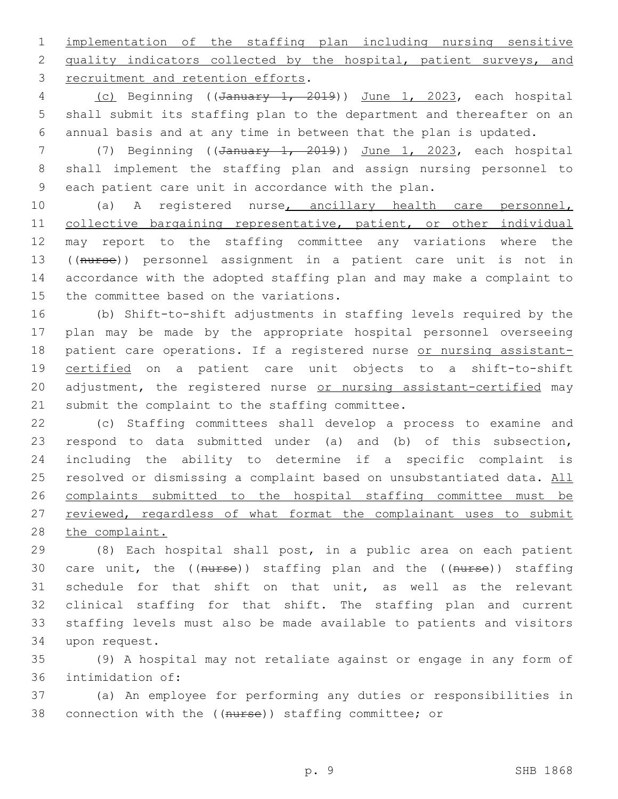1 implementation of the staffing plan including nursing sensitive 2 quality indicators collected by the hospital, patient surveys, and 3 recruitment and retention efforts.

4 (c) Beginning ((January 1, 2019)) June 1, 2023, each hospital 5 shall submit its staffing plan to the department and thereafter on an 6 annual basis and at any time in between that the plan is updated.

7 (7) Beginning ((January 1, 2019)) June 1, 2023, each hospital 8 shall implement the staffing plan and assign nursing personnel to 9 each patient care unit in accordance with the plan.

 (a) A registered nurse, ancillary health care personnel, 11 collective bargaining representative, patient, or other individual may report to the staffing committee any variations where the ((nurse)) personnel assignment in a patient care unit is not in accordance with the adopted staffing plan and may make a complaint to 15 the committee based on the variations.

16 (b) Shift-to-shift adjustments in staffing levels required by the 17 plan may be made by the appropriate hospital personnel overseeing 18 patient care operations. If a registered nurse or nursing assistant-19 certified on a patient care unit objects to a shift-to-shift 20 adjustment, the registered nurse or nursing assistant-certified may 21 submit the complaint to the staffing committee.

22 (c) Staffing committees shall develop a process to examine and 23 respond to data submitted under (a) and (b) of this subsection, 24 including the ability to determine if a specific complaint is 25 resolved or dismissing a complaint based on unsubstantiated data. All 26 complaints submitted to the hospital staffing committee must be 27 reviewed, regardless of what format the complainant uses to submit 28 the complaint.

 (8) Each hospital shall post, in a public area on each patient 30 care unit, the ((nurse)) staffing plan and the ((nurse)) staffing schedule for that shift on that unit, as well as the relevant clinical staffing for that shift. The staffing plan and current staffing levels must also be made available to patients and visitors 34 upon request.

35 (9) A hospital may not retaliate against or engage in any form of 36 intimidation of:

37 (a) An employee for performing any duties or responsibilities in 38 connection with the ((nurse)) staffing committee; or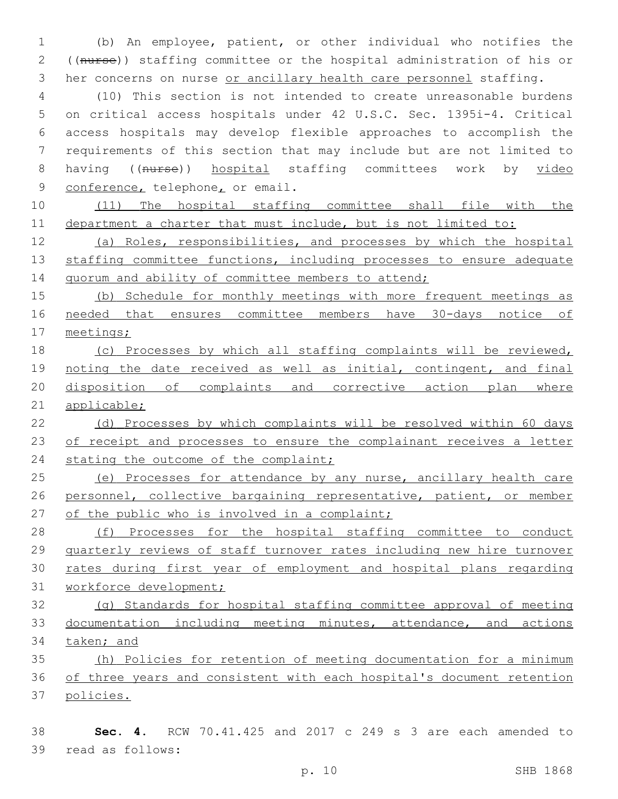(b) An employee, patient, or other individual who notifies the ((nurse)) staffing committee or the hospital administration of his or 3 her concerns on nurse or ancillary health care personnel staffing.

 (10) This section is not intended to create unreasonable burdens on critical access hospitals under 42 U.S.C. Sec. 1395i-4. Critical access hospitals may develop flexible approaches to accomplish the requirements of this section that may include but are not limited to 8 having ((nurse)) hospital staffing committees work by video 9 conference, telephone, or email.

 (11) The hospital staffing committee shall file with the department a charter that must include, but is not limited to:

 (a) Roles, responsibilities, and processes by which the hospital 13 staffing committee functions, including processes to ensure adequate 14 quorum and ability of committee members to attend;

 (b) Schedule for monthly meetings with more frequent meetings as needed that ensures committee members have 30-days notice of meetings;

 (c) Processes by which all staffing complaints will be reviewed, 19 noting the date received as well as initial, contingent, and final disposition of complaints and corrective action plan where applicable;

 (d) Processes by which complaints will be resolved within 60 days 23 of receipt and processes to ensure the complainant receives a letter 24 stating the outcome of the complaint;

25 (e) Processes for attendance by any nurse, ancillary health care personnel, collective bargaining representative, patient, or member 27 of the public who is involved in a complaint;

28 (f) Processes for the hospital staffing committee to conduct quarterly reviews of staff turnover rates including new hire turnover rates during first year of employment and hospital plans regarding workforce development;

 (g) Standards for hospital staffing committee approval of meeting documentation including meeting minutes, attendance, and actions taken; and

 (h) Policies for retention of meeting documentation for a minimum of three years and consistent with each hospital's document retention policies.

 **Sec. 4.** RCW 70.41.425 and 2017 c 249 s 3 are each amended to 39 read as follows: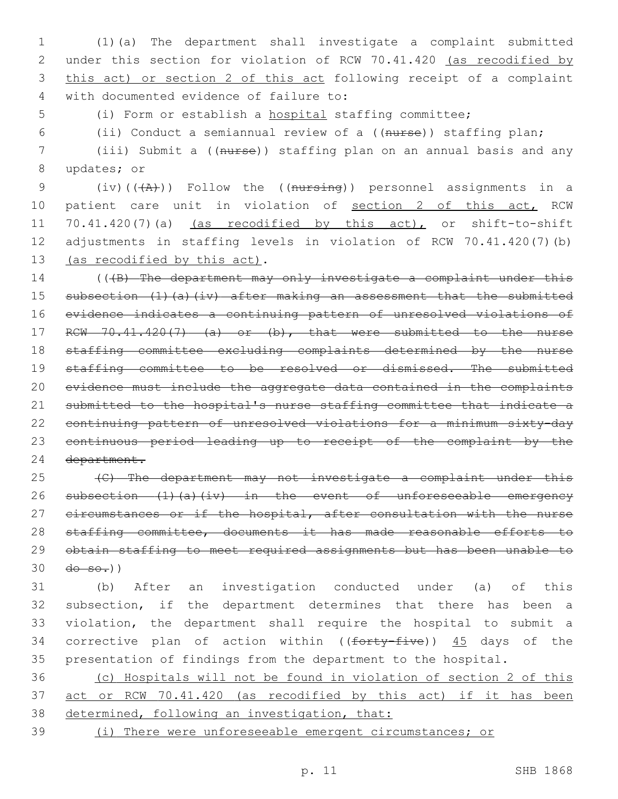(1)(a) The department shall investigate a complaint submitted under this section for violation of RCW 70.41.420 (as recodified by this act) or section 2 of this act following receipt of a complaint with documented evidence of failure to:4

(i) Form or establish a hospital staffing committee;

(ii) Conduct a semiannual review of a ((nurse)) staffing plan;

 (iii) Submit a ((nurse)) staffing plan on an annual basis and any 8 updates; or

9 (iv)( $(\overline{A})$ )) Follow the ((nursing)) personnel assignments in a 10 patient care unit in violation of section 2 of this act, RCW 70.41.420(7)(a) (as recodified by this act), or shift-to-shift adjustments in staffing levels in violation of RCW 70.41.420(7)(b) 13 (as recodified by this act).

14 (((B) The department may only investigate a complaint under this subsection (1)(a)(iv) after making an assessment that the submitted evidence indicates a continuing pattern of unresolved violations of 17 RCW 70.41.420(7) (a) or (b), that were submitted to the nurse staffing committee excluding complaints determined by the nurse 19 staffing committee to be resolved or dismissed. The submitted evidence must include the aggregate data contained in the complaints submitted to the hospital's nurse staffing committee that indicate a continuing pattern of unresolved violations for a minimum sixty-day continuous period leading up to receipt of the complaint by the department.

 (C) The department may not investigate a complaint under this 26 subsection (1)(a)(iv) in the event of unforeseeable emergency 27 circumstances or if the hospital, after consultation with the nurse 28 staffing committee, documents it has made reasonable efforts to obtain staffing to meet required assignments but has been unable to  $30 \frac{d\theta - \theta - \theta}{l}$ 

 (b) After an investigation conducted under (a) of this subsection, if the department determines that there has been a violation, the department shall require the hospital to submit a 34 corrective plan of action within ((forty-five)) 45 days of the presentation of findings from the department to the hospital.

 (c) Hospitals will not be found in violation of section 2 of this act or RCW 70.41.420 (as recodified by this act) if it has been 38 determined, following an investigation, that:

(i) There were unforeseeable emergent circumstances; or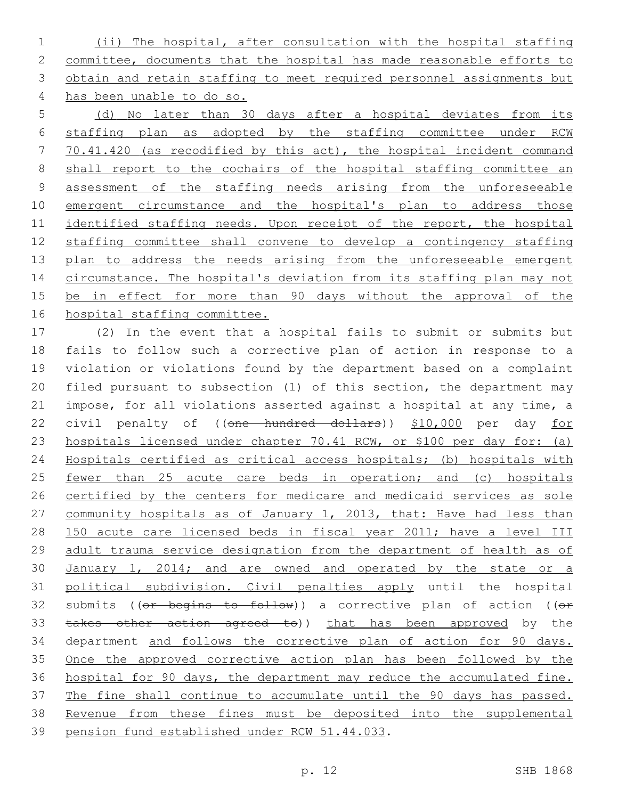(ii) The hospital, after consultation with the hospital staffing committee, documents that the hospital has made reasonable efforts to obtain and retain staffing to meet required personnel assignments but has been unable to do so.

 (d) No later than 30 days after a hospital deviates from its staffing plan as adopted by the staffing committee under RCW 70.41.420 (as recodified by this act), the hospital incident command shall report to the cochairs of the hospital staffing committee an assessment of the staffing needs arising from the unforeseeable 10 emergent circumstance and the hospital's plan to address those identified staffing needs. Upon receipt of the report, the hospital staffing committee shall convene to develop a contingency staffing 13 plan to address the needs arising from the unforeseeable emergent 14 circumstance. The hospital's deviation from its staffing plan may not 15 be in effect for more than 90 days without the approval of the hospital staffing committee.

 (2) In the event that a hospital fails to submit or submits but fails to follow such a corrective plan of action in response to a violation or violations found by the department based on a complaint filed pursuant to subsection (1) of this section, the department may impose, for all violations asserted against a hospital at any time, a 22 civil penalty of ((one hundred dollars)) \$10,000 per day for hospitals licensed under chapter 70.41 RCW, or \$100 per day for: (a) Hospitals certified as critical access hospitals; (b) hospitals with 25 <u>fewer than 25 acute care beds in operation; and (c) hospitals</u> certified by the centers for medicare and medicaid services as sole 27 community hospitals as of January 1, 2013, that: Have had less than 150 acute care licensed beds in fiscal year 2011; have a level III adult trauma service designation from the department of health as of 30 January 1, 2014; and are owned and operated by the state or a political subdivision. Civil penalties apply until the hospital 32 submits (( $e$ r begins to follow)) a corrective plan of action (( $e$ r 33 takes other action agreed to)) that has been approved by the department and follows the corrective plan of action for 90 days. Once the approved corrective action plan has been followed by the hospital for 90 days, the department may reduce the accumulated fine. The fine shall continue to accumulate until the 90 days has passed. Revenue from these fines must be deposited into the supplemental 39 pension fund established under RCW 51.44.033.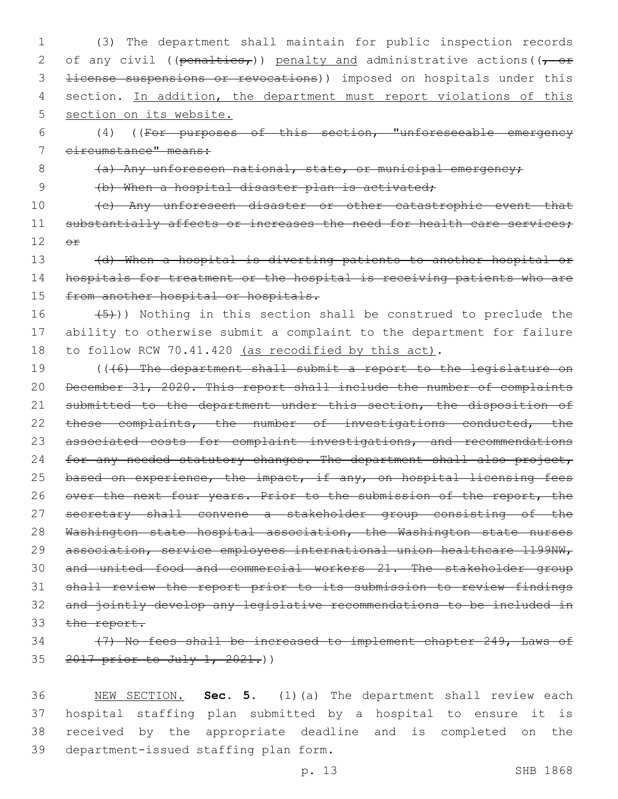1 (3) The department shall maintain for public inspection records 2 of any civil ((penalties,)) penalty and administrative actions ( $(-$  or 3 <del>license suspensions or revocations</del>)) imposed on hospitals under this 4 section. In addition, the department must report violations of this 5 section on its website.

6 (4) ((For purposes of this section, "unforeseeable emergency 7 circumstance" means:

8 (a) Any unforeseen national, state, or municipal emergency;

9 (b) When a hospital disaster plan is activated;

10 (c) Any unforeseen disaster or other catastrophic event that 11 substantially affects or increases the need for health care services;  $12$   $\Theta$  $\mathbf{f}$ 

13 (d) When a hospital is diverting patients to another hospital or 14 hospitals for treatment or the hospital is receiving patients who are 15 from another hospital or hospitals.

## 16  $(5)$ )) Nothing in this section shall be construed to preclude the 17 ability to otherwise submit a complaint to the department for failure 18 to follow RCW 70.41.420 (as recodified by this act).

19 (((6) The department shall submit a report to the legislature on 20 December 31, 2020. This report shall include the number of complaints 21 submitted to the department under this section, the disposition of 22 these complaints, the number of investigations conducted, the 23 associated costs for complaint investigations, and recommendations 24 for any needed statutory changes. The department shall also project, 25 based on experience, the impact, if any, on hospital licensing fees 26 over the next four years. Prior to the submission of the report, the 27 secretary shall convene a stakeholder group consisting of the 28 Washington state hospital association, the Washington state nurses 29 association, service employees international union healthcare 1199NW, 30 and united food and commercial workers 21. The stakeholder group 31 shall review the report prior to its submission to review findings 32 and jointly develop any legislative recommendations to be included in 33 the report.

## 34 (7) No fees shall be increased to implement chapter 249, Laws of 35 2017 prior to July 1, 2021.)

 NEW SECTION. **Sec. 5.** (1)(a) The department shall review each hospital staffing plan submitted by a hospital to ensure it is received by the appropriate deadline and is completed on the department-issued staffing plan form.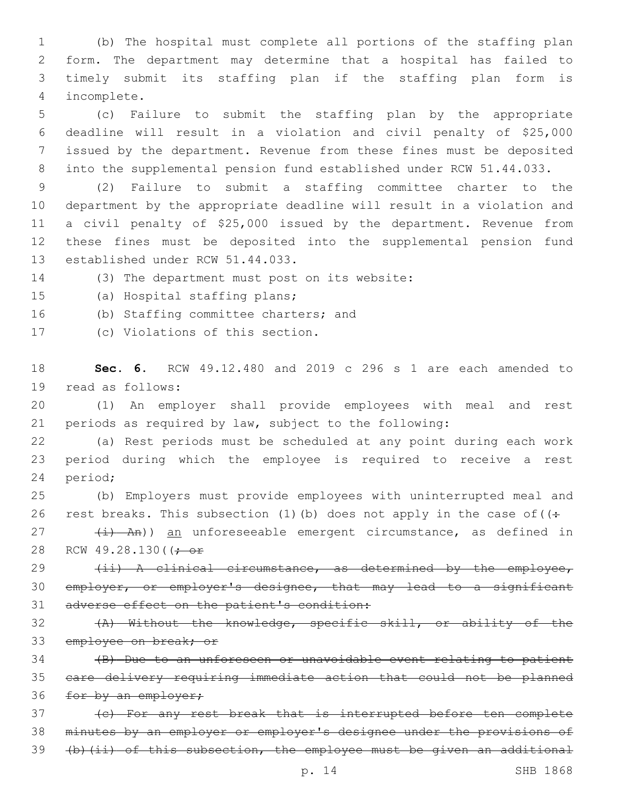(b) The hospital must complete all portions of the staffing plan form. The department may determine that a hospital has failed to timely submit its staffing plan if the staffing plan form is incomplete.4

 (c) Failure to submit the staffing plan by the appropriate deadline will result in a violation and civil penalty of \$25,000 issued by the department. Revenue from these fines must be deposited into the supplemental pension fund established under RCW 51.44.033.

 (2) Failure to submit a staffing committee charter to the department by the appropriate deadline will result in a violation and a civil penalty of \$25,000 issued by the department. Revenue from these fines must be deposited into the supplemental pension fund 13 established under RCW 51.44.033.

14 (3) The department must post on its website:

15 (a) Hospital staffing plans;

16 (b) Staffing committee charters; and

17 (c) Violations of this section.

18 **Sec. 6.** RCW 49.12.480 and 2019 c 296 s 1 are each amended to 19 read as follows:

20 (1) An employer shall provide employees with meal and rest 21 periods as required by law, subject to the following:

22 (a) Rest periods must be scheduled at any point during each work 23 period during which the employee is required to receive a rest 24 period;

25 (b) Employers must provide employees with uninterrupted meal and 26 rest breaks. This subsection (1)(b) does not apply in the case of  $($ .

27 (i) An)) an unforeseeable emergent circumstance, as defined in 28 RCW 49.28.130( $\left(\frac{1}{1}\right)$ 

29 (ii) A clinical circumstance, as determined by the employee, 30 employer, or employer's designee, that may lead to a significant 31 adverse effect on the patient's condition:

32 (A) Without the knowledge, specific skill, or ability of the 33 employee on break; or

34 (B) Due to an unforeseen or unavoidable event relating to patient 35 care delivery requiring immediate action that could not be planned 36 for by an employer;

37 (c) For any rest break that is interrupted before ten complete 38 minutes by an employer or employer's designee under the provisions of 39 (b)(ii) of this subsection, the employee must be given an additional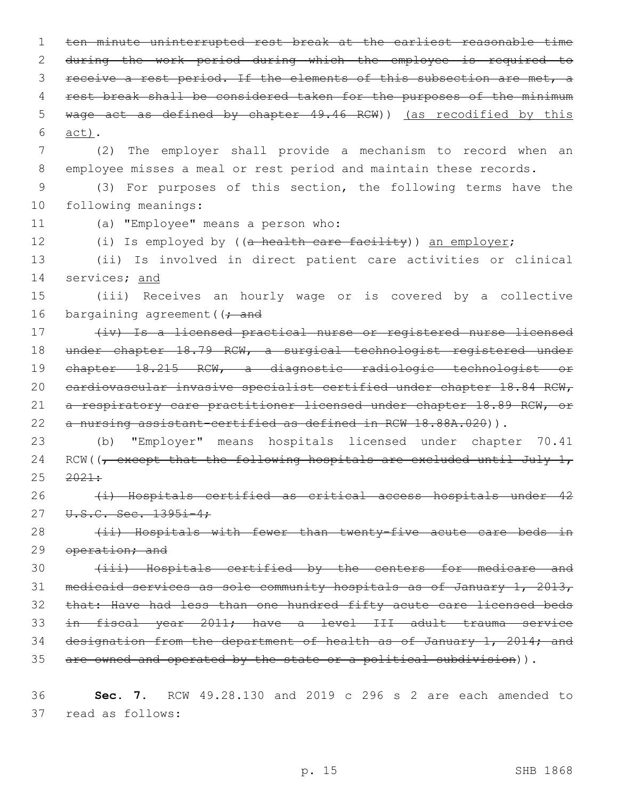1 ten minute uninterrupted rest break at the earliest reasonable time 2 during the work period during which the employee is required to 3 receive a rest period. If the elements of this subsection are met, a 4 rest break shall be considered taken for the purposes of the minimum 5 wage act as defined by chapter 49.46 RCW)) (as recodified by this act).6 7 (2) The employer shall provide a mechanism to record when an 8 employee misses a meal or rest period and maintain these records. 9 (3) For purposes of this section, the following terms have the 10 following meanings: 11 (a) "Employee" means a person who: 12 (i) Is employed by ((a health care facility)) an employer; 13 (ii) Is involved in direct patient care activities or clinical 14 services; and 15 (iii) Receives an hourly wage or is covered by a collective 16 bargaining agreement ( $\rightarrow$  and 17 (iv) Is a licensed practical nurse or registered nurse licensed 18 under chapter 18.79 RCW, a surgical technologist registered under 19 chapter 18.215 RCW, a diagnostic radiologic technologist or 20 cardiovascular invasive specialist certified under chapter 18.84 RCW, 21 a respiratory care practitioner licensed under chapter 18.89 RCW, or 22 a nursing assistant-certified as defined in RCW 18.88A.020)). 23 (b) "Employer" means hospitals licensed under chapter 70.41 24 RCW( $\sqrt{ }$  except that the following hospitals are excluded until July 1,  $25 \frac{2021}{1}$ 26 (i) Hospitals certified as critical access hospitals under 42 27 U.S.C. Sec. 1395i-4; 28 (ii) Hospitals with fewer than twenty-five acute care beds in 29 operation; and 30 (iii) Hospitals certified by the centers for medicare and 31 medicaid services as sole community hospitals as of January 1, 2013, 32 that: Have had less than one hundred fifty acute care licensed beds 33 in fiscal year 2011; have a level III adult trauma service 34 designation from the department of health as of January 1, 2014; and

35 are owned and operated by the state or a political subdivision)).

36 **Sec. 7.** RCW 49.28.130 and 2019 c 296 s 2 are each amended to 37 read as follows: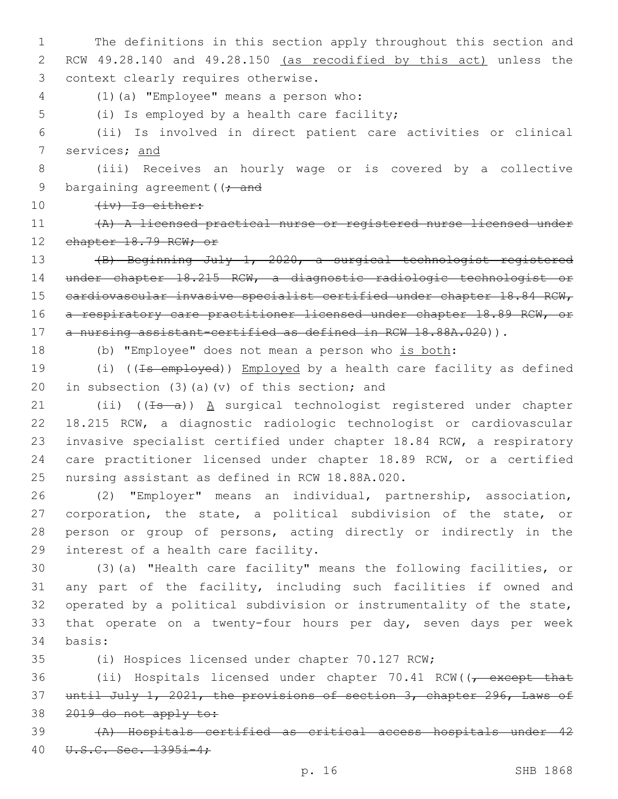1 The definitions in this section apply throughout this section and 2 RCW 49.28.140 and 49.28.150 (as recodified by this act) unless the 3 context clearly requires otherwise.

(1)(a) "Employee" means a person who:4

5 (i) Is employed by a health care facility;

6 (ii) Is involved in direct patient care activities or clinical 7 services; and

8 (iii) Receives an hourly wage or is covered by a collective 9 bargaining agreement ( $\rightarrow$  and

10 (iv) Is either:

11 (A) A licensed practical nurse or registered nurse licensed under 12 chapter 18.79 RCW; or

13 (B) Beginning July 1, 2020, a surgical technologist registered 14 under chapter 18.215 RCW, a diagnostic radiologic technologist or 15 cardiovascular invasive specialist certified under chapter 18.84 RCW, 16 a respiratory care practitioner licensed under chapter 18.89 RCW, or 17 a nursing assistant-certified as defined in RCW 18.88A.020)).

18 (b) "Employee" does not mean a person who is both:

19 (i) ((<del>Is employed</del>)) Employed by a health care facility as defined 20 in subsection (3)(a)(v) of this section; and

21 (ii)  $((\pm s - a))$  A surgical technologist registered under chapter 22 18.215 RCW, a diagnostic radiologic technologist or cardiovascular 23 invasive specialist certified under chapter 18.84 RCW, a respiratory 24 care practitioner licensed under chapter 18.89 RCW, or a certified 25 nursing assistant as defined in RCW 18.88A.020.

 (2) "Employer" means an individual, partnership, association, corporation, the state, a political subdivision of the state, or person or group of persons, acting directly or indirectly in the 29 interest of a health care facility.

30 (3)(a) "Health care facility" means the following facilities, or 31 any part of the facility, including such facilities if owned and 32 operated by a political subdivision or instrumentality of the state, 33 that operate on a twenty-four hours per day, seven days per week 34 basis:

35 (i) Hospices licensed under chapter 70.127 RCW;

36 (ii) Hospitals licensed under chapter 70.41 RCW((, except that 37 until July 1, 2021, the provisions of section 3, chapter 296, Laws of 38 2019 do not apply to:

39 (A) Hospitals certified as critical access hospitals under 42 40 U.S.C. Sec. 1395i-4;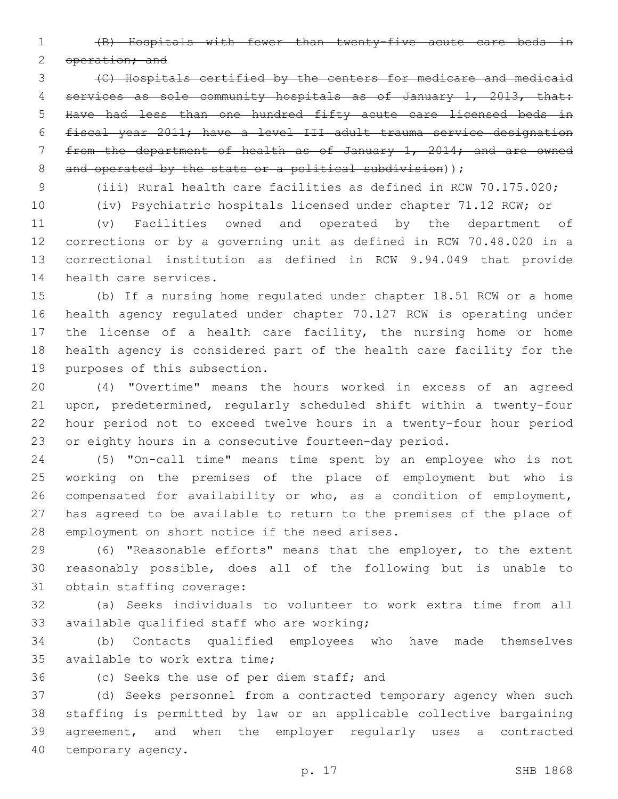(B) Hospitals with fewer than twenty-five acute care beds in

2 operation; and

 (C) Hospitals certified by the centers for medicare and medicaid services as sole community hospitals as of January 1, 2013, that: Have had less than one hundred fifty acute care licensed beds in fiscal year 2011; have a level III adult trauma service designation from the department of health as of January 1, 2014; and are owned 8 and operated by the state or a political subdivision));

(iii) Rural health care facilities as defined in RCW 70.175.020;

(iv) Psychiatric hospitals licensed under chapter 71.12 RCW; or

 (v) Facilities owned and operated by the department of corrections or by a governing unit as defined in RCW 70.48.020 in a correctional institution as defined in RCW 9.94.049 that provide 14 health care services.

 (b) If a nursing home regulated under chapter 18.51 RCW or a home health agency regulated under chapter 70.127 RCW is operating under the license of a health care facility, the nursing home or home health agency is considered part of the health care facility for the 19 purposes of this subsection.

 (4) "Overtime" means the hours worked in excess of an agreed upon, predetermined, regularly scheduled shift within a twenty-four hour period not to exceed twelve hours in a twenty-four hour period or eighty hours in a consecutive fourteen-day period.

 (5) "On-call time" means time spent by an employee who is not working on the premises of the place of employment but who is compensated for availability or who, as a condition of employment, has agreed to be available to return to the premises of the place of 28 employment on short notice if the need arises.

 (6) "Reasonable efforts" means that the employer, to the extent reasonably possible, does all of the following but is unable to 31 obtain staffing coverage:

 (a) Seeks individuals to volunteer to work extra time from all 33 available qualified staff who are working;

 (b) Contacts qualified employees who have made themselves 35 available to work extra time:

36 (c) Seeks the use of per diem staff; and

 (d) Seeks personnel from a contracted temporary agency when such staffing is permitted by law or an applicable collective bargaining agreement, and when the employer regularly uses a contracted 40 temporary agency.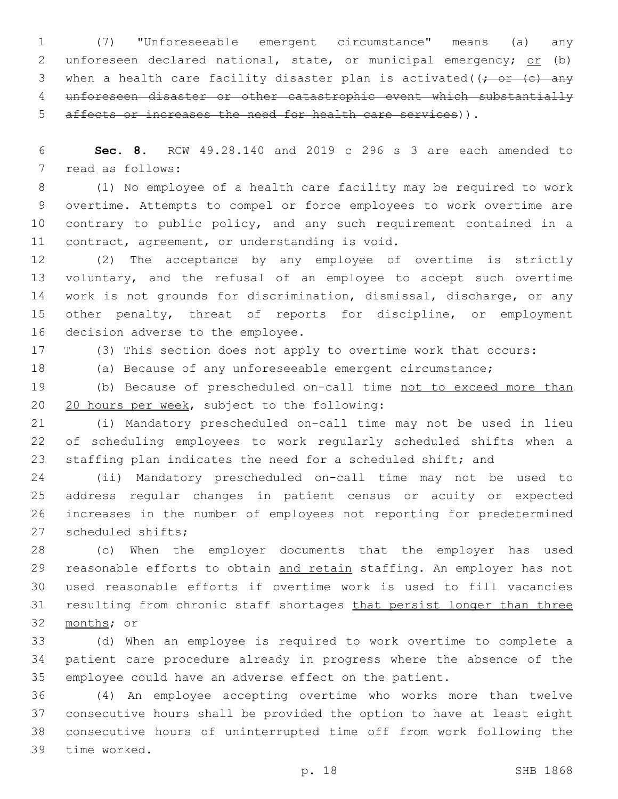(7) "Unforeseeable emergent circumstance" means (a) any 2 unforeseen declared national, state, or municipal emergency; or (b) 3 when a health care facility disaster plan is activated( $\left(\frac{1}{r} \text{ or } (-\epsilon) \right)$  unforeseen disaster or other catastrophic event which substantially affects or increases the need for health care services)).

 **Sec. 8.** RCW 49.28.140 and 2019 c 296 s 3 are each amended to 7 read as follows:

 (1) No employee of a health care facility may be required to work overtime. Attempts to compel or force employees to work overtime are contrary to public policy, and any such requirement contained in a 11 contract, agreement, or understanding is void.

 (2) The acceptance by any employee of overtime is strictly 13 voluntary, and the refusal of an employee to accept such overtime work is not grounds for discrimination, dismissal, discharge, or any other penalty, threat of reports for discipline, or employment 16 decision adverse to the employee.

(3) This section does not apply to overtime work that occurs:

(a) Because of any unforeseeable emergent circumstance;

 (b) Because of prescheduled on-call time not to exceed more than 20 20 hours per week, subject to the following:

 (i) Mandatory prescheduled on-call time may not be used in lieu of scheduling employees to work regularly scheduled shifts when a staffing plan indicates the need for a scheduled shift; and

 (ii) Mandatory prescheduled on-call time may not be used to address regular changes in patient census or acuity or expected increases in the number of employees not reporting for predetermined 27 scheduled shifts;

 (c) When the employer documents that the employer has used 29 reasonable efforts to obtain and retain staffing. An employer has not used reasonable efforts if overtime work is used to fill vacancies 31 resulting from chronic staff shortages that persist longer than three 32 months; or

 (d) When an employee is required to work overtime to complete a patient care procedure already in progress where the absence of the employee could have an adverse effect on the patient.

 (4) An employee accepting overtime who works more than twelve consecutive hours shall be provided the option to have at least eight consecutive hours of uninterrupted time off from work following the 39 time worked.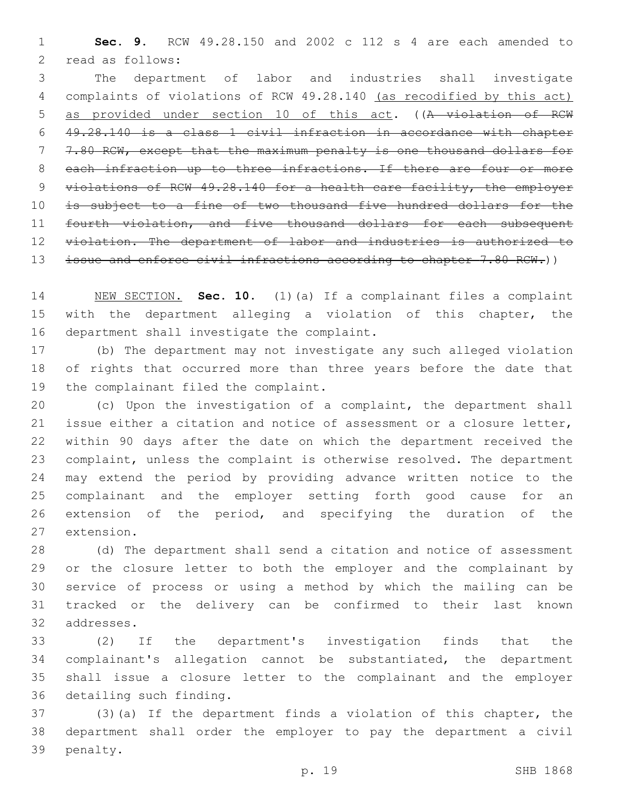**Sec. 9.** RCW 49.28.150 and 2002 c 112 s 4 are each amended to 2 read as follows:

 The department of labor and industries shall investigate complaints of violations of RCW 49.28.140 (as recodified by this act) as provided under section 10 of this act. ((A violation of RCW 49.28.140 is a class 1 civil infraction in accordance with chapter 7.80 RCW, except that the maximum penalty is one thousand dollars for 8 each infraction up to three infractions. If there are four or more violations of RCW 49.28.140 for a health care facility, the employer is subject to a fine of two thousand five hundred dollars for the 11 fourth violation, and five thousand dollars for each subsequent 12 violation. The department of labor and industries is authorized to 13 issue and enforce civil infractions according to chapter 7.80 RCW.))

 NEW SECTION. **Sec. 10.** (1)(a) If a complainant files a complaint with the department alleging a violation of this chapter, the department shall investigate the complaint.

 (b) The department may not investigate any such alleged violation of rights that occurred more than three years before the date that 19 the complainant filed the complaint.

 (c) Upon the investigation of a complaint, the department shall issue either a citation and notice of assessment or a closure letter, within 90 days after the date on which the department received the complaint, unless the complaint is otherwise resolved. The department may extend the period by providing advance written notice to the complainant and the employer setting forth good cause for an extension of the period, and specifying the duration of the 27 extension.

 (d) The department shall send a citation and notice of assessment or the closure letter to both the employer and the complainant by service of process or using a method by which the mailing can be tracked or the delivery can be confirmed to their last known 32 addresses.

 (2) If the department's investigation finds that the complainant's allegation cannot be substantiated, the department shall issue a closure letter to the complainant and the employer 36 detailing such finding.

 (3)(a) If the department finds a violation of this chapter, the department shall order the employer to pay the department a civil 39 penalty.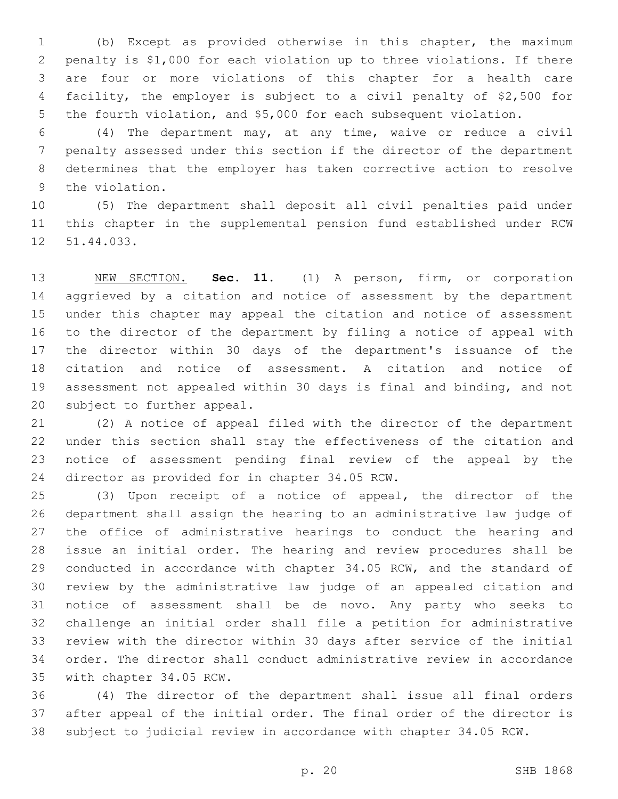(b) Except as provided otherwise in this chapter, the maximum penalty is \$1,000 for each violation up to three violations. If there are four or more violations of this chapter for a health care facility, the employer is subject to a civil penalty of \$2,500 for the fourth violation, and \$5,000 for each subsequent violation.

 (4) The department may, at any time, waive or reduce a civil penalty assessed under this section if the director of the department determines that the employer has taken corrective action to resolve 9 the violation.

 (5) The department shall deposit all civil penalties paid under this chapter in the supplemental pension fund established under RCW 12 51.44.033.

 NEW SECTION. **Sec. 11.** (1) A person, firm, or corporation aggrieved by a citation and notice of assessment by the department under this chapter may appeal the citation and notice of assessment to the director of the department by filing a notice of appeal with the director within 30 days of the department's issuance of the citation and notice of assessment. A citation and notice of assessment not appealed within 30 days is final and binding, and not subject to further appeal.

 (2) A notice of appeal filed with the director of the department under this section shall stay the effectiveness of the citation and notice of assessment pending final review of the appeal by the 24 director as provided for in chapter 34.05 RCW.

 (3) Upon receipt of a notice of appeal, the director of the department shall assign the hearing to an administrative law judge of the office of administrative hearings to conduct the hearing and issue an initial order. The hearing and review procedures shall be conducted in accordance with chapter 34.05 RCW, and the standard of review by the administrative law judge of an appealed citation and notice of assessment shall be de novo. Any party who seeks to challenge an initial order shall file a petition for administrative review with the director within 30 days after service of the initial order. The director shall conduct administrative review in accordance 35 with chapter 34.05 RCW.

 (4) The director of the department shall issue all final orders after appeal of the initial order. The final order of the director is subject to judicial review in accordance with chapter 34.05 RCW.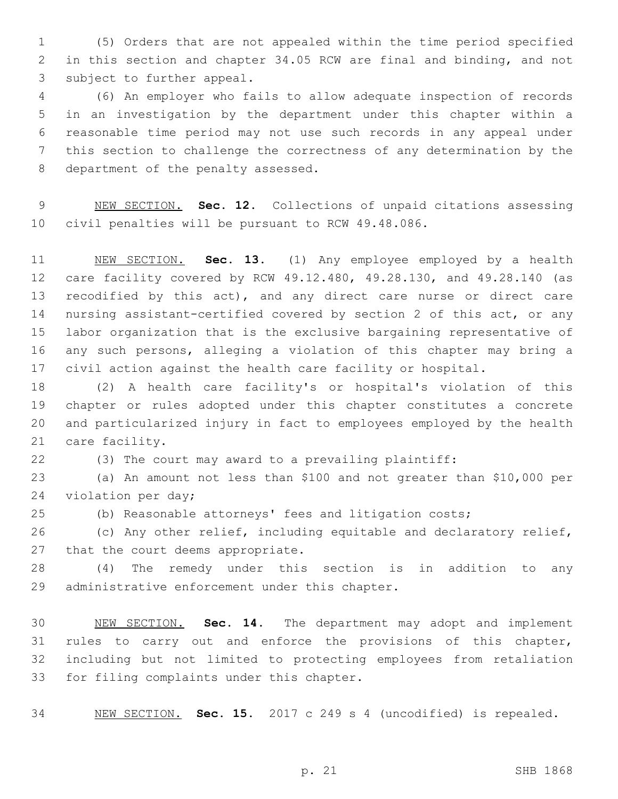(5) Orders that are not appealed within the time period specified in this section and chapter 34.05 RCW are final and binding, and not 3 subject to further appeal.

 (6) An employer who fails to allow adequate inspection of records in an investigation by the department under this chapter within a reasonable time period may not use such records in any appeal under this section to challenge the correctness of any determination by the 8 department of the penalty assessed.

 NEW SECTION. **Sec. 12.** Collections of unpaid citations assessing civil penalties will be pursuant to RCW 49.48.086.

 NEW SECTION. **Sec. 13.** (1) Any employee employed by a health care facility covered by RCW 49.12.480, 49.28.130, and 49.28.140 (as 13 recodified by this act), and any direct care nurse or direct care nursing assistant-certified covered by section 2 of this act, or any labor organization that is the exclusive bargaining representative of any such persons, alleging a violation of this chapter may bring a civil action against the health care facility or hospital.

 (2) A health care facility's or hospital's violation of this chapter or rules adopted under this chapter constitutes a concrete and particularized injury in fact to employees employed by the health 21 care facility.

(3) The court may award to a prevailing plaintiff:

 (a) An amount not less than \$100 and not greater than \$10,000 per 24 violation per day;

(b) Reasonable attorneys' fees and litigation costs;

 (c) Any other relief, including equitable and declaratory relief, 27 that the court deems appropriate.

 (4) The remedy under this section is in addition to any 29 administrative enforcement under this chapter.

 NEW SECTION. **Sec. 14.** The department may adopt and implement rules to carry out and enforce the provisions of this chapter, including but not limited to protecting employees from retaliation for filing complaints under this chapter.

NEW SECTION. **Sec. 15.** 2017 c 249 s 4 (uncodified) is repealed.